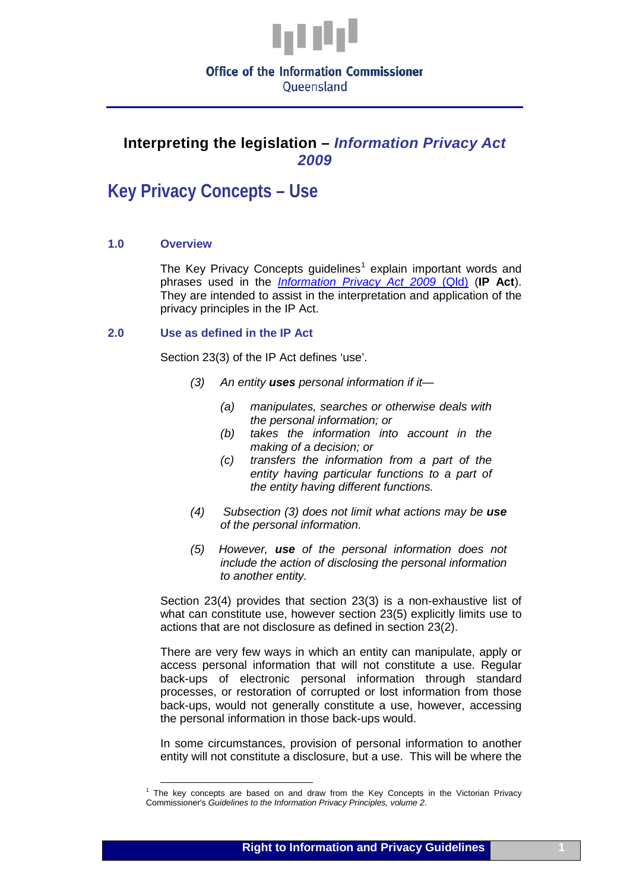

# **Office of the Information Commissioner**

Oueensland

### **Interpreting the legislation –** *Information Privacy Act 2009*

## **Key Privacy Concepts – Use**

#### **1.0 Overview**

The Key Privacy Concepts guidelines<sup>[1](#page-1-0)</sup> explain important words and phrases used in the *[Information Privacy Act 2009](http://www.legislation.qld.gov.au/LEGISLTN/CURRENT/I/InfoPrivA09.pdf)* (Qld) (**IP Act**). They are intended to assist in the interpretation and application of the privacy principles in the IP Act.

#### **2.0 Use as defined in the IP Act**

Section 23(3) of the IP Act defines 'use'.

- *(3) An entity uses personal information if it—*
	- *(a) manipulates, searches or otherwise deals with the personal information; or*
	- *(b) takes the information into account in the making of a decision; or*
	- *(c) transfers the information from a part of the entity having particular functions to a part of the entity having different functions.*
- *(4) Subsection (3) does not limit what actions may be use of the personal information.*
- *(5) However, use of the personal information does not include the action of disclosing the personal information to another entity.*

Section 23(4) provides that section 23(3) is a non-exhaustive list of what can constitute use, however section 23(5) explicitly limits use to actions that are not disclosure as defined in section 23(2).

There are very few ways in which an entity can manipulate, apply or access personal information that will not constitute a use. Regular back-ups of electronic personal information through standard processes, or restoration of corrupted or lost information from those back-ups, would not generally constitute a use, however, accessing the personal information in those back-ups would.

In some circumstances, provision of personal information to another entity will not constitute a disclosure, but a use. This will be where the

<sup>&</sup>lt;sup>1</sup> The key concepts are based on and draw from the Key Concepts in the Victorian Privacy Commissioner's *Guidelines to the Information Privacy Principles, volume 2*.